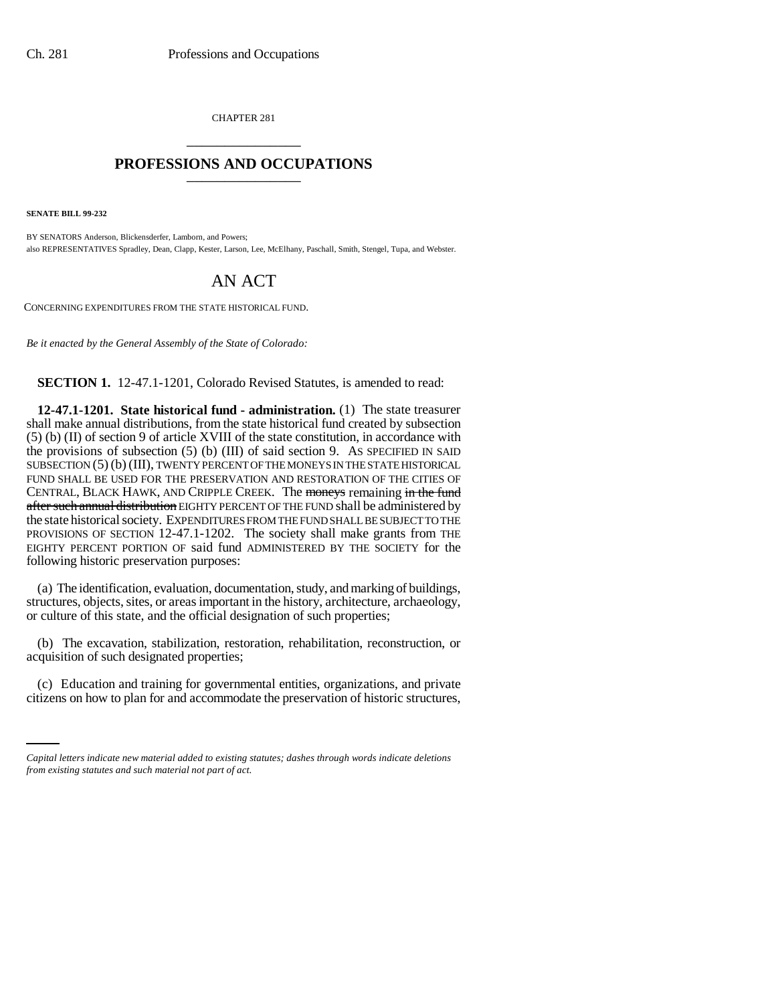CHAPTER 281 \_\_\_\_\_\_\_\_\_\_\_\_\_\_\_

## **PROFESSIONS AND OCCUPATIONS** \_\_\_\_\_\_\_\_\_\_\_\_\_\_\_

**SENATE BILL 99-232** 

BY SENATORS Anderson, Blickensderfer, Lamborn, and Powers; also REPRESENTATIVES Spradley, Dean, Clapp, Kester, Larson, Lee, McElhany, Paschall, Smith, Stengel, Tupa, and Webster.

## AN ACT

CONCERNING EXPENDITURES FROM THE STATE HISTORICAL FUND.

*Be it enacted by the General Assembly of the State of Colorado:*

**SECTION 1.** 12-47.1-1201, Colorado Revised Statutes, is amended to read:

**12-47.1-1201. State historical fund - administration.** (1) The state treasurer shall make annual distributions, from the state historical fund created by subsection (5) (b) (II) of section 9 of article XVIII of the state constitution, in accordance with the provisions of subsection (5) (b) (III) of said section 9. AS SPECIFIED IN SAID SUBSECTION (5) (b) (III), TWENTY PERCENT OF THE MONEYS IN THE STATE HISTORICAL FUND SHALL BE USED FOR THE PRESERVATION AND RESTORATION OF THE CITIES OF CENTRAL, BLACK HAWK, AND CRIPPLE CREEK. The moneys remaining in the fund after such annual distribution EIGHTY PERCENT OF THE FUND shall be administered by the state historical society. EXPENDITURES FROM THE FUND SHALL BE SUBJECT TO THE PROVISIONS OF SECTION 12-47.1-1202. The society shall make grants from THE EIGHTY PERCENT PORTION OF said fund ADMINISTERED BY THE SOCIETY for the following historic preservation purposes:

(a) The identification, evaluation, documentation, study, and marking of buildings, structures, objects, sites, or areas important in the history, architecture, archaeology, or culture of this state, and the official designation of such properties;

(b) The excavation, stabilization, restoration, rehabilitation, reconstruction, or acquisition of such designated properties;

(c) Education and training for governmental entities, organizations, and private citizens on how to plan for and accommodate the preservation of historic structures,

*Capital letters indicate new material added to existing statutes; dashes through words indicate deletions from existing statutes and such material not part of act.*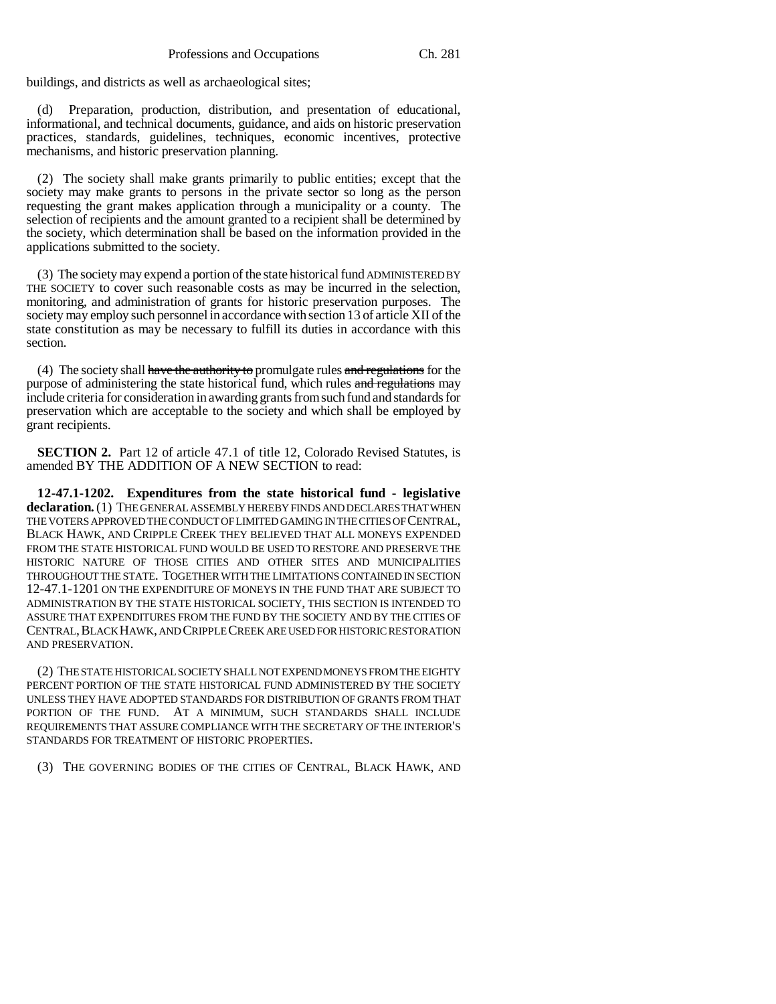buildings, and districts as well as archaeological sites;

(d) Preparation, production, distribution, and presentation of educational, informational, and technical documents, guidance, and aids on historic preservation practices, standards, guidelines, techniques, economic incentives, protective mechanisms, and historic preservation planning.

(2) The society shall make grants primarily to public entities; except that the society may make grants to persons in the private sector so long as the person requesting the grant makes application through a municipality or a county. The selection of recipients and the amount granted to a recipient shall be determined by the society, which determination shall be based on the information provided in the applications submitted to the society.

(3) The society may expend a portion of the state historical fund ADMINISTERED BY THE SOCIETY to cover such reasonable costs as may be incurred in the selection, monitoring, and administration of grants for historic preservation purposes. The society may employ such personnel in accordance with section 13 of article XII of the state constitution as may be necessary to fulfill its duties in accordance with this section.

(4) The society shall have the authority to promulgate rules and regulations for the purpose of administering the state historical fund, which rules and regulations may include criteria for consideration in awarding grants from such fund and standards for preservation which are acceptable to the society and which shall be employed by grant recipients.

**SECTION 2.** Part 12 of article 47.1 of title 12, Colorado Revised Statutes, is amended BY THE ADDITION OF A NEW SECTION to read:

**12-47.1-1202. Expenditures from the state historical fund - legislative declaration.** (1) THE GENERAL ASSEMBLY HEREBY FINDS AND DECLARES THAT WHEN THE VOTERS APPROVED THE CONDUCT OF LIMITED GAMING IN THE CITIES OF CENTRAL, BLACK HAWK, AND CRIPPLE CREEK THEY BELIEVED THAT ALL MONEYS EXPENDED FROM THE STATE HISTORICAL FUND WOULD BE USED TO RESTORE AND PRESERVE THE HISTORIC NATURE OF THOSE CITIES AND OTHER SITES AND MUNICIPALITIES THROUGHOUT THE STATE. TOGETHER WITH THE LIMITATIONS CONTAINED IN SECTION 12-47.1-1201 ON THE EXPENDITURE OF MONEYS IN THE FUND THAT ARE SUBJECT TO ADMINISTRATION BY THE STATE HISTORICAL SOCIETY, THIS SECTION IS INTENDED TO ASSURE THAT EXPENDITURES FROM THE FUND BY THE SOCIETY AND BY THE CITIES OF CENTRAL,BLACK HAWK, AND CRIPPLE CREEK ARE USED FOR HISTORIC RESTORATION AND PRESERVATION.

(2) THE STATE HISTORICAL SOCIETY SHALL NOT EXPEND MONEYS FROM THE EIGHTY PERCENT PORTION OF THE STATE HISTORICAL FUND ADMINISTERED BY THE SOCIETY UNLESS THEY HAVE ADOPTED STANDARDS FOR DISTRIBUTION OF GRANTS FROM THAT PORTION OF THE FUND. AT A MINIMUM, SUCH STANDARDS SHALL INCLUDE REQUIREMENTS THAT ASSURE COMPLIANCE WITH THE SECRETARY OF THE INTERIOR'S STANDARDS FOR TREATMENT OF HISTORIC PROPERTIES.

(3) THE GOVERNING BODIES OF THE CITIES OF CENTRAL, BLACK HAWK, AND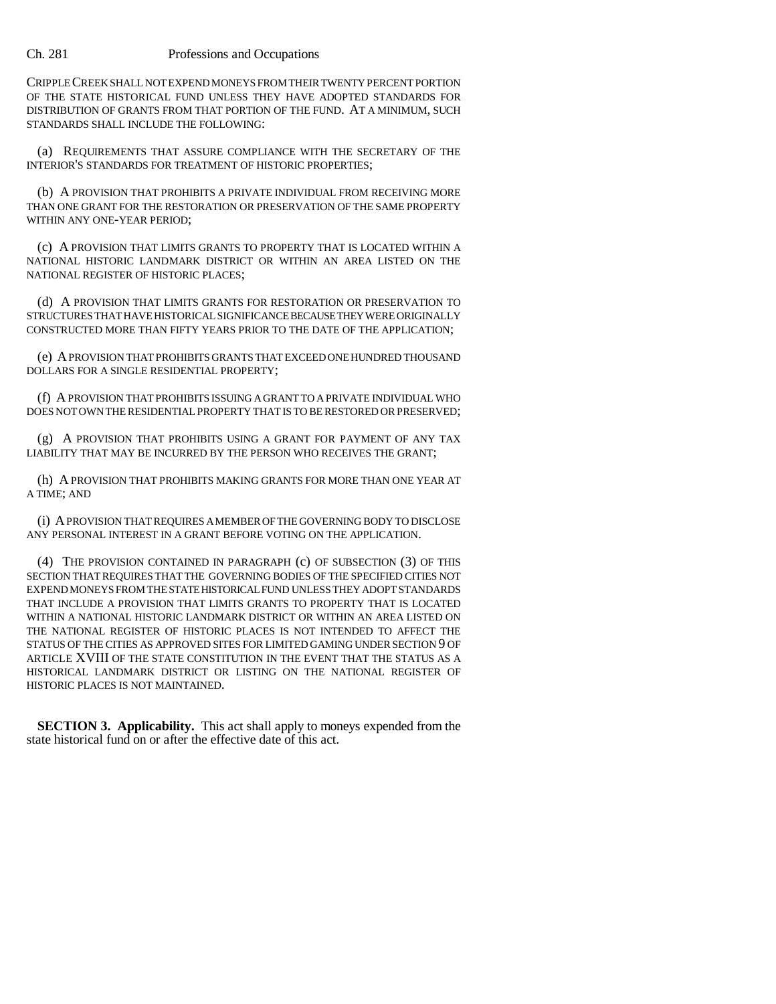CRIPPLE CREEK SHALL NOT EXPEND MONEYS FROM THEIR TWENTY PERCENT PORTION OF THE STATE HISTORICAL FUND UNLESS THEY HAVE ADOPTED STANDARDS FOR DISTRIBUTION OF GRANTS FROM THAT PORTION OF THE FUND. AT A MINIMUM, SUCH STANDARDS SHALL INCLUDE THE FOLLOWING:

(a) REQUIREMENTS THAT ASSURE COMPLIANCE WITH THE SECRETARY OF THE INTERIOR'S STANDARDS FOR TREATMENT OF HISTORIC PROPERTIES;

(b) A PROVISION THAT PROHIBITS A PRIVATE INDIVIDUAL FROM RECEIVING MORE THAN ONE GRANT FOR THE RESTORATION OR PRESERVATION OF THE SAME PROPERTY WITHIN ANY ONE-YEAR PERIOD;

(c) A PROVISION THAT LIMITS GRANTS TO PROPERTY THAT IS LOCATED WITHIN A NATIONAL HISTORIC LANDMARK DISTRICT OR WITHIN AN AREA LISTED ON THE NATIONAL REGISTER OF HISTORIC PLACES;

(d) A PROVISION THAT LIMITS GRANTS FOR RESTORATION OR PRESERVATION TO STRUCTURES THAT HAVE HISTORICAL SIGNIFICANCE BECAUSE THEY WERE ORIGINALLY CONSTRUCTED MORE THAN FIFTY YEARS PRIOR TO THE DATE OF THE APPLICATION;

(e) A PROVISION THAT PROHIBITS GRANTS THAT EXCEED ONE HUNDRED THOUSAND DOLLARS FOR A SINGLE RESIDENTIAL PROPERTY;

(f) A PROVISION THAT PROHIBITS ISSUING A GRANT TO A PRIVATE INDIVIDUAL WHO DOES NOT OWN THE RESIDENTIAL PROPERTY THAT IS TO BE RESTORED OR PRESERVED;

(g) A PROVISION THAT PROHIBITS USING A GRANT FOR PAYMENT OF ANY TAX LIABILITY THAT MAY BE INCURRED BY THE PERSON WHO RECEIVES THE GRANT;

(h) A PROVISION THAT PROHIBITS MAKING GRANTS FOR MORE THAN ONE YEAR AT A TIME; AND

(i) A PROVISION THAT REQUIRES A MEMBER OF THE GOVERNING BODY TO DISCLOSE ANY PERSONAL INTEREST IN A GRANT BEFORE VOTING ON THE APPLICATION.

(4) THE PROVISION CONTAINED IN PARAGRAPH (c) OF SUBSECTION (3) OF THIS SECTION THAT REQUIRES THAT THE GOVERNING BODIES OF THE SPECIFIED CITIES NOT EXPEND MONEYS FROM THE STATE HISTORICAL FUND UNLESS THEY ADOPT STANDARDS THAT INCLUDE A PROVISION THAT LIMITS GRANTS TO PROPERTY THAT IS LOCATED WITHIN A NATIONAL HISTORIC LANDMARK DISTRICT OR WITHIN AN AREA LISTED ON THE NATIONAL REGISTER OF HISTORIC PLACES IS NOT INTENDED TO AFFECT THE STATUS OF THE CITIES AS APPROVED SITES FOR LIMITED GAMING UNDER SECTION 9 OF ARTICLE XVIII OF THE STATE CONSTITUTION IN THE EVENT THAT THE STATUS AS A HISTORICAL LANDMARK DISTRICT OR LISTING ON THE NATIONAL REGISTER OF HISTORIC PLACES IS NOT MAINTAINED.

**SECTION 3. Applicability.** This act shall apply to moneys expended from the state historical fund on or after the effective date of this act.